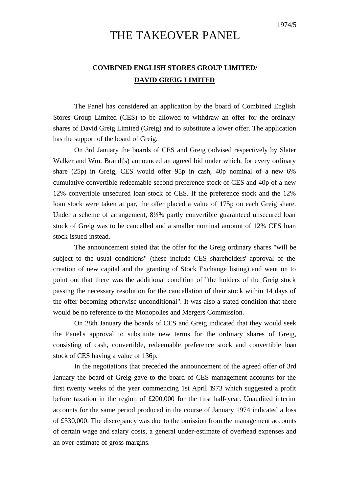## THE TAKEOVER PANEL

## **COMBINED ENGLISH STORES GROUP LIMITED/ DAVID GREIG LIMITED**

The Panel has considered an application by the board of Combined English Stores Group Limited (CES) to be allowed to withdraw an offer for the ordinary shares of David Greig Limited (Greig) and to substitute a lower offer. The application has the support of the board of Greig.

On 3rd January the boards of CES and Greig (advised respectively by Slater Walker and Wm. Brandt's) announced an agreed bid under which, for every ordinary share (25p) in Greig, CES would offer 95p in cash, 40p nominal of a new 6% cumulative convertible redeemable second preference stock of CES and 40p of a new 12% convertible unsecured loan stock of CES. If the preference stock and the 12% loan stock were taken at par, the offer placed a value of 175p on each Greig share. Under a scheme of arrangement, 8½% partly convertible guaranteed unsecured loan stock of Greig was to be cancelled and a smaller nominal amount of 12% CES loan stock issued instead.

The announcement stated that the offer for the Greig ordinary shares "will be subject to the usual conditions" (these include CES shareholders' approval of the creation of new capital and the granting of Stock Exchange listing) and went on to point out that there was the additional condition of "the holders of the Greig stock passing the necessary resolution for the cancellation of their stock within 14 days of the offer becoming otherwise unconditional". It was also a stated condition that there would be no reference to the Monopolies and Mergers Commission.

On 28th January the boards of CES and Greig indicated that they would seek the Panel's approval to substitute new terms for the ordinary shares of Greig, consisting of cash, convertible, redeemable preference stock and convertible loan stock of CES having a value of 136p.

In the negotiations that preceded the announcement of the agreed offer of 3rd January the board of Greig gave to the board of CES management accounts for the first twenty weeks of the year commencing 1st April 1973 which suggested a profit before taxation in the region of £200,000 for the first half-year. Unaudited interim accounts for the same period produced in the course of January 1974 indicated a loss of £330,000. The discrepancy was due to the omission from the management accounts of certain wage and salary costs, a general under-estimate of overhead expenses and an over-estimate of gross margins.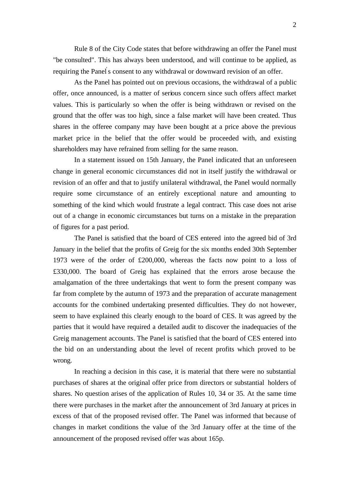Rule 8 of the City Code states that before withdrawing an offer the Panel must "be consulted". This has always been understood, and will continue to be applied, as requiring the Panel' s consent to any withdrawal or downward revision of an offer.

As the Panel has pointed out on previous occasions, the withdrawal of a public offer, once announced, is a matter of serious concern since such offers affect market values. This is particularly so when the offer is being withdrawn or revised on the ground that the offer was too high, since a false market will have been created. Thus shares in the offeree company may have been bought at a price above the previous market price in the belief that the offer would be proceeded with, and existing shareholders may have refrained from selling for the same reason.

In a statement issued on 15th January, the Panel indicated that an unforeseen change in general economic circumstances did not in itself justify the withdrawal or revision of an offer and that to justify unilateral withdrawal, the Panel would normally require some circumstance of an entirely exceptional nature and amounting to something of the kind which would frustrate a legal contract. This case does not arise out of a change in economic circumstances but turns on a mistake in the preparation of figures for a past period.

The Panel is satisfied that the board of CES entered into the agreed bid of 3rd January in the belief that the profits of Greig for the six months ended 30th September 1973 were of the order of £200,000, whereas the facts now point to a loss of £330,000. The board of Greig has explained that the errors arose because the amalgamation of the three undertakings that went to form the present company was far from complete by the autumn of 1973 and the preparation of accurate management accounts for the combined undertaking presented difficulties. They do not however, seem to have explained this clearly enough to the board of CES. It was agreed by the parties that it would have required a detailed audit to discover the inadequacies of the Greig management accounts. The Panel is satisfied that the board of CES entered into the bid on an understanding about the level of recent profits which proved to be wrong.

In reaching a decision in this case, it is material that there were no substantial purchases of shares at the original offer price from directors or substantial holders of shares. No question arises of the application of Rules 10, 34 or 35. At the same time there were purchases in the market after the announcement of 3rd January at prices in excess of that of the proposed revised offer. The Panel was informed that because of changes in market conditions the value of the 3rd January offer at the time of the announcement of the proposed revised offer was about 165p.